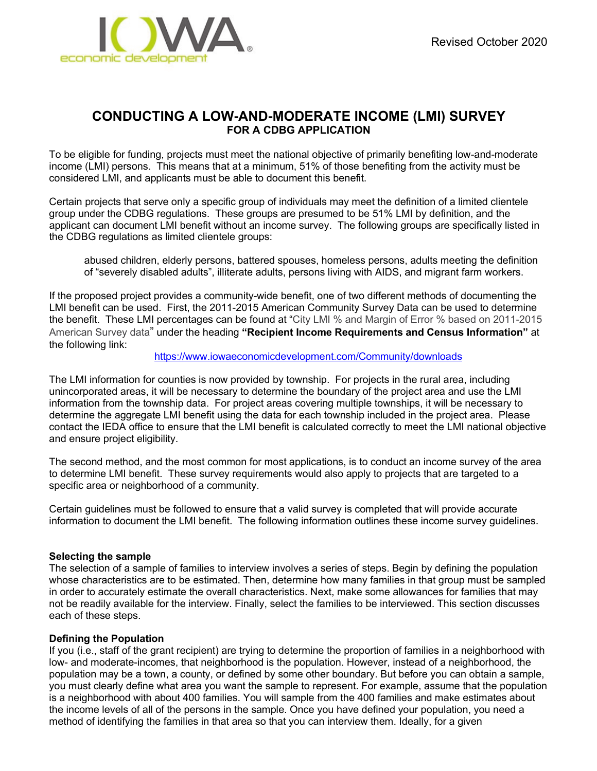

# **CONDUCTING A LOW-AND-MODERATE INCOME (LMI) SURVEY FOR A CDBG APPLICATION**

To be eligible for funding, projects must meet the national objective of primarily benefiting low-and-moderate income (LMI) persons. This means that at a minimum, 51% of those benefiting from the activity must be considered LMI, and applicants must be able to document this benefit.

Certain projects that serve only a specific group of individuals may meet the definition of a limited clientele group under the CDBG regulations. These groups are presumed to be 51% LMI by definition, and the applicant can document LMI benefit without an income survey. The following groups are specifically listed in the CDBG regulations as limited clientele groups:

abused children, elderly persons, battered spouses, homeless persons, adults meeting the definition of "severely disabled adults", illiterate adults, persons living with AIDS, and migrant farm workers.

If the proposed project provides a community-wide benefit, one of two different methods of documenting the LMI benefit can be used. First, the 2011-2015 American Community Survey Data can be used to determine the benefit. These LMI percentages can be found at "City LMI % and Margin of Error % based on 2011-2015 American Survey data" under the heading **"Recipient Income Requirements and Census Information"** at the following link:

<https://www.iowaeconomicdevelopment.com/Community/downloads>

The LMI information for counties is now provided by township. For projects in the rural area, including unincorporated areas, it will be necessary to determine the boundary of the project area and use the LMI information from the township data. For project areas covering multiple townships, it will be necessary to determine the aggregate LMI benefit using the data for each township included in the project area. Please contact the IEDA office to ensure that the LMI benefit is calculated correctly to meet the LMI national objective and ensure project eligibility.

The second method, and the most common for most applications, is to conduct an income survey of the area to determine LMI benefit. These survey requirements would also apply to projects that are targeted to a specific area or neighborhood of a community.

Certain guidelines must be followed to ensure that a valid survey is completed that will provide accurate information to document the LMI benefit. The following information outlines these income survey guidelines.

#### **Selecting the sample**

The selection of a sample of families to interview involves a series of steps. Begin by defining the population whose characteristics are to be estimated. Then, determine how many families in that group must be sampled in order to accurately estimate the overall characteristics. Next, make some allowances for families that may not be readily available for the interview. Finally, select the families to be interviewed. This section discusses each of these steps.

#### **Defining the Population**

If you (i.e., staff of the grant recipient) are trying to determine the proportion of families in a neighborhood with low- and moderate-incomes, that neighborhood is the population. However, instead of a neighborhood, the population may be a town, a county, or defined by some other boundary. But before you can obtain a sample, you must clearly define what area you want the sample to represent. For example, assume that the population is a neighborhood with about 400 families. You will sample from the 400 families and make estimates about the income levels of all of the persons in the sample. Once you have defined your population, you need a method of identifying the families in that area so that you can interview them. Ideally, for a given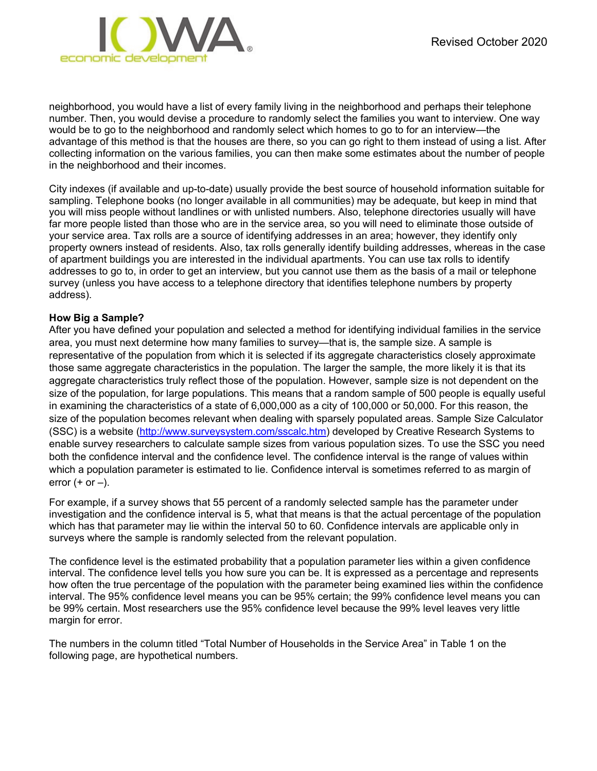neighborhood, you would have a list of every family living in the neighborhood and perhaps their telephone number. Then, you would devise a procedure to randomly select the families you want to interview. One way would be to go to the neighborhood and randomly select which homes to go to for an interview—the advantage of this method is that the houses are there, so you can go right to them instead of using a list. After collecting information on the various families, you can then make some estimates about the number of people in the neighborhood and their incomes.

City indexes (if available and up-to-date) usually provide the best source of household information suitable for sampling. Telephone books (no longer available in all communities) may be adequate, but keep in mind that you will miss people without landlines or with unlisted numbers. Also, telephone directories usually will have far more people listed than those who are in the service area, so you will need to eliminate those outside of your service area. Tax rolls are a source of identifying addresses in an area; however, they identify only property owners instead of residents. Also, tax rolls generally identify building addresses, whereas in the case of apartment buildings you are interested in the individual apartments. You can use tax rolls to identify addresses to go to, in order to get an interview, but you cannot use them as the basis of a mail or telephone survey (unless you have access to a telephone directory that identifies telephone numbers by property address).

#### **How Big a Sample?**

After you have defined your population and selected a method for identifying individual families in the service area, you must next determine how many families to survey—that is, the sample size. A sample is representative of the population from which it is selected if its aggregate characteristics closely approximate those same aggregate characteristics in the population. The larger the sample, the more likely it is that its aggregate characteristics truly reflect those of the population. However, sample size is not dependent on the size of the population, for large populations. This means that a random sample of 500 people is equally useful in examining the characteristics of a state of 6,000,000 as a city of 100,000 or 50,000. For this reason, the size of the population becomes relevant when dealing with sparsely populated areas. Sample Size Calculator (SSC) is a website [\(http://www.surveysystem.com/sscalc.htm\)](http://www.surveysystem.com/sscalc.htm) developed by Creative Research Systems to enable survey researchers to calculate sample sizes from various population sizes. To use the SSC you need both the confidence interval and the confidence level. The confidence interval is the range of values within which a population parameter is estimated to lie. Confidence interval is sometimes referred to as margin of error  $(+$  or  $-$ ).

For example, if a survey shows that 55 percent of a randomly selected sample has the parameter under investigation and the confidence interval is 5, what that means is that the actual percentage of the population which has that parameter may lie within the interval 50 to 60. Confidence intervals are applicable only in surveys where the sample is randomly selected from the relevant population.

The confidence level is the estimated probability that a population parameter lies within a given confidence interval. The confidence level tells you how sure you can be. It is expressed as a percentage and represents how often the true percentage of the population with the parameter being examined lies within the confidence interval. The 95% confidence level means you can be 95% certain; the 99% confidence level means you can be 99% certain. Most researchers use the 95% confidence level because the 99% level leaves very little margin for error.

The numbers in the column titled "Total Number of Households in the Service Area" in Table 1 on the following page, are hypothetical numbers.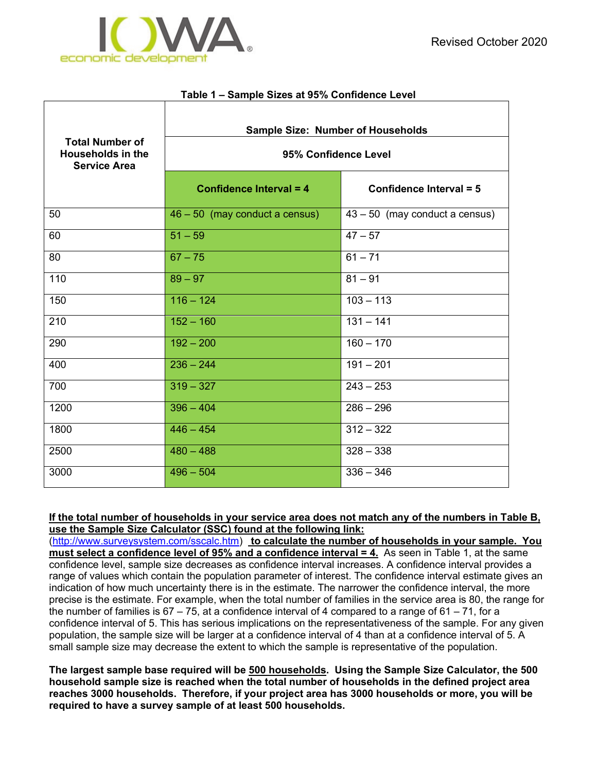г

#### **Table 1 – Sample Sizes at 95% Confidence Level**

| <b>Total Number of</b><br><b>Households in the</b><br><b>Service Area</b> | <b>Sample Size: Number of Households</b><br>95% Confidence Level |                                  |  |  |  |  |  |
|---------------------------------------------------------------------------|------------------------------------------------------------------|----------------------------------|--|--|--|--|--|
|                                                                           | Confidence Interval = 4                                          | Confidence Interval = 5          |  |  |  |  |  |
| 50                                                                        | 46 - 50 (may conduct a census)                                   | $43 - 50$ (may conduct a census) |  |  |  |  |  |
| 60                                                                        | $51 - 59$                                                        | $47 - 57$                        |  |  |  |  |  |
| 80                                                                        | $67 - 75$                                                        | $61 - 71$                        |  |  |  |  |  |
| 110                                                                       | $89 - 97$                                                        | $81 - 91$                        |  |  |  |  |  |
| 150                                                                       | $116 - 124$                                                      | $103 - 113$                      |  |  |  |  |  |
| 210                                                                       | $152 - 160$                                                      | $131 - 141$                      |  |  |  |  |  |
| 290                                                                       | $192 - 200$                                                      | $160 - 170$                      |  |  |  |  |  |
| 400                                                                       | $236 - 244$                                                      | $191 - 201$                      |  |  |  |  |  |
| 700                                                                       | $319 - 327$                                                      | $243 - 253$                      |  |  |  |  |  |
| 1200                                                                      | $396 - 404$                                                      | $286 - 296$                      |  |  |  |  |  |
| 1800                                                                      | $446 - 454$                                                      | $312 - 322$                      |  |  |  |  |  |
| 2500                                                                      | $480 - 488$                                                      | $328 - 338$                      |  |  |  |  |  |
| 3000                                                                      | $496 - 504$                                                      | $336 - 346$                      |  |  |  |  |  |

**If the total number of households in your service area does not match any of the numbers in Table B, use the Sample Size Calculator (SSC) found at the following link:** 

[\(http://www.surveysystem.com/sscalc.htm\)](http://www.surveysystem.com/sscalc.htm) **to calculate the number of households in your sample. You must select a confidence level of 95% and a confidence interval = 4.** As seen in Table 1, at the same confidence level, sample size decreases as confidence interval increases. A confidence interval provides a range of values which contain the population parameter of interest. The confidence interval estimate gives an indication of how much uncertainty there is in the estimate. The narrower the confidence interval, the more precise is the estimate. For example, when the total number of families in the service area is 80, the range for the number of families is  $67 - 75$ , at a confidence interval of 4 compared to a range of  $61 - 71$ , for a confidence interval of 5. This has serious implications on the representativeness of the sample. For any given population, the sample size will be larger at a confidence interval of 4 than at a confidence interval of 5. A small sample size may decrease the extent to which the sample is representative of the population.

**The largest sample base required will be 500 households. Using the Sample Size Calculator, the 500 household sample size is reached when the total number of households in the defined project area reaches 3000 households. Therefore, if your project area has 3000 households or more, you will be required to have a survey sample of at least 500 households.**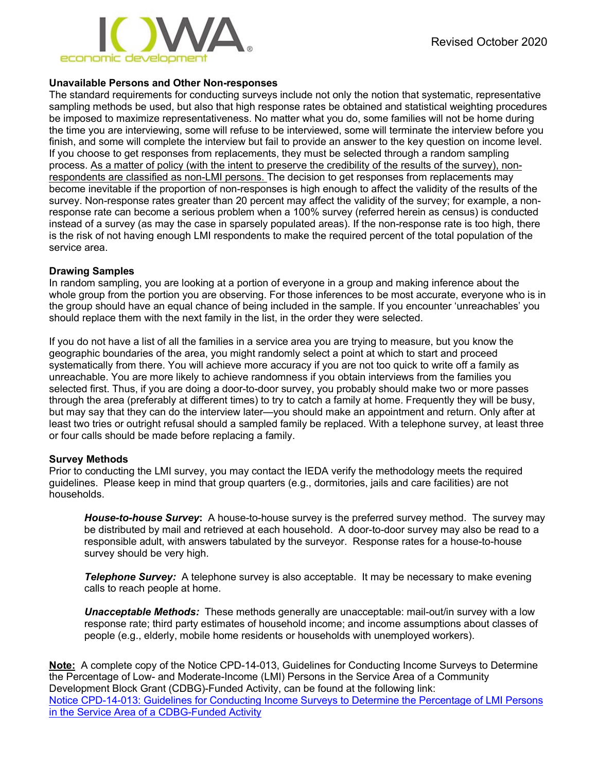

#### **Unavailable Persons and Other Non-responses**

The standard requirements for conducting surveys include not only the notion that systematic, representative sampling methods be used, but also that high response rates be obtained and statistical weighting procedures be imposed to maximize representativeness. No matter what you do, some families will not be home during the time you are interviewing, some will refuse to be interviewed, some will terminate the interview before you finish, and some will complete the interview but fail to provide an answer to the key question on income level. If you choose to get responses from replacements, they must be selected through a random sampling process. As a matter of policy (with the intent to preserve the credibility of the results of the survey), nonrespondents are classified as non-LMI persons. The decision to get responses from replacements may become inevitable if the proportion of non-responses is high enough to affect the validity of the results of the survey. Non-response rates greater than 20 percent may affect the validity of the survey; for example, a nonresponse rate can become a serious problem when a 100% survey (referred herein as census) is conducted instead of a survey (as may the case in sparsely populated areas). If the non-response rate is too high, there is the risk of not having enough LMI respondents to make the required percent of the total population of the service area.

#### **Drawing Samples**

In random sampling, you are looking at a portion of everyone in a group and making inference about the whole group from the portion you are observing. For those inferences to be most accurate, everyone who is in the group should have an equal chance of being included in the sample. If you encounter 'unreachables' you should replace them with the next family in the list, in the order they were selected.

If you do not have a list of all the families in a service area you are trying to measure, but you know the geographic boundaries of the area, you might randomly select a point at which to start and proceed systematically from there. You will achieve more accuracy if you are not too quick to write off a family as unreachable. You are more likely to achieve randomness if you obtain interviews from the families you selected first. Thus, if you are doing a door-to-door survey, you probably should make two or more passes through the area (preferably at different times) to try to catch a family at home. Frequently they will be busy, but may say that they can do the interview later—you should make an appointment and return. Only after at least two tries or outright refusal should a sampled family be replaced. With a telephone survey, at least three or four calls should be made before replacing a family.

#### **Survey Methods**

Prior to conducting the LMI survey, you may contact the IEDA verify the methodology meets the required guidelines. Please keep in mind that group quarters (e.g., dormitories, jails and care facilities) are not households.

*House-to-house Survey***:** A house-to-house survey is the preferred survey method. The survey may be distributed by mail and retrieved at each household. A door-to-door survey may also be read to a responsible adult, with answers tabulated by the surveyor. Response rates for a house-to-house survey should be very high.

**Telephone Survey:** A telephone survey is also acceptable. It may be necessary to make evening calls to reach people at home.

*Unacceptable Methods:* These methods generally are unacceptable: mail-out/in survey with a low response rate; third party estimates of household income; and income assumptions about classes of people (e.g., elderly, mobile home residents or households with unemployed workers).

**Note:** A complete copy of the Notice CPD-14-013, Guidelines for Conducting Income Surveys to Determine the Percentage of Low- and Moderate-Income (LMI) Persons in the Service Area of a Community Development Block Grant (CDBG)-Funded Activity, can be found at the following link: Notice CPD-14-013: Guidelines for Conducting [Income Surveys to Determine the Percentage of LMI Persons](https://www.hudexchange.info/resources/documents/Notice-CPD-14-013-Guidelines-for-Conducting-Income-Surveys-LMI-CDBG-Activity.pdf)  [in the Service Area of a CDBG-Funded Activity](https://www.hudexchange.info/resources/documents/Notice-CPD-14-013-Guidelines-for-Conducting-Income-Surveys-LMI-CDBG-Activity.pdf)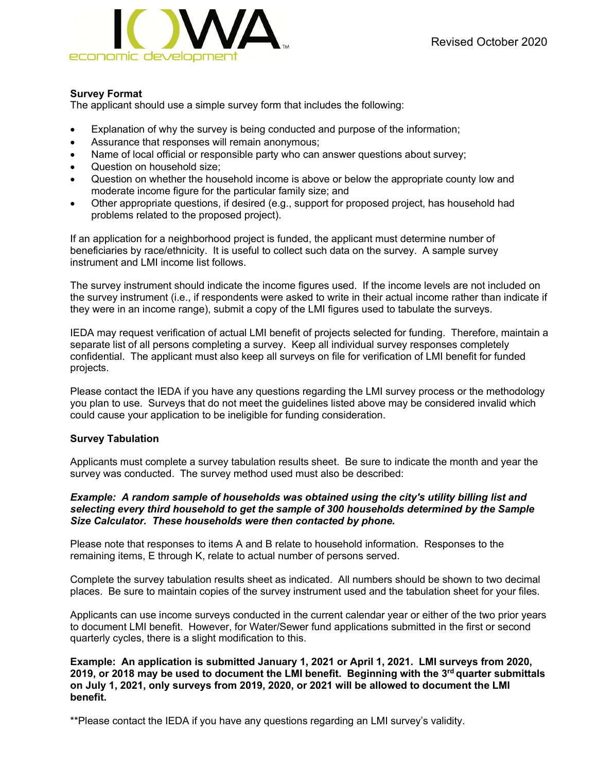#### **Survey Format**

The applicant should use a simple survey form that includes the following:

- Explanation of why the survey is being conducted and purpose of the information;
- Assurance that responses will remain anonymous;
- Name of local official or responsible party who can answer questions about survey;
- Question on household size;
- Question on whether the household income is above or below the appropriate county low and moderate income figure for the particular family size; and
- Other appropriate questions, if desired (e.g., support for proposed project, has household had problems related to the proposed project).

If an application for a neighborhood project is funded, the applicant must determine number of beneficiaries by race/ethnicity. It is useful to collect such data on the survey. A sample survey instrument and LMI income list follows.

The survey instrument should indicate the income figures used. If the income levels are not included on the survey instrument (i.e., if respondents were asked to write in their actual income rather than indicate if they were in an income range), submit a copy of the LMI figures used to tabulate the surveys.

IEDA may request verification of actual LMI benefit of projects selected for funding. Therefore, maintain a separate list of all persons completing a survey. Keep all individual survey responses completely confidential. The applicant must also keep all surveys on file for verification of LMI benefit for funded projects.

Please contact the IEDA if you have any questions regarding the LMI survey process or the methodology you plan to use. Surveys that do not meet the guidelines listed above may be considered invalid which could cause your application to be ineligible for funding consideration.

#### **Survey Tabulation**

Applicants must complete a survey tabulation results sheet. Be sure to indicate the month and year the survey was conducted. The survey method used must also be described:

#### *Example: A random sample of households was obtained using the city's utility billing list and selecting every third household to get the sample of 300 households determined by the Sample Size Calculator. These households were then contacted by phone.*

Please note that responses to items A and B relate to household information. Responses to the remaining items, E through K, relate to actual number of persons served.

Complete the survey tabulation results sheet as indicated. All numbers should be shown to two decimal places. Be sure to maintain copies of the survey instrument used and the tabulation sheet for your files.

Applicants can use income surveys conducted in the current calendar year or either of the two prior years to document LMI benefit. However, for Water/Sewer fund applications submitted in the first or second quarterly cycles, there is a slight modification to this.

**Example: An application is submitted January 1, 2021 or April 1, 2021. LMI surveys from 2020, 2019, or 2018 may be used to document the LMI benefit. Beginning with the 3rd quarter submittals on July 1, 2021, only surveys from 2019, 2020, or 2021 will be allowed to document the LMI benefit.**

\*\*Please contact the IEDA if you have any questions regarding an LMI survey's validity.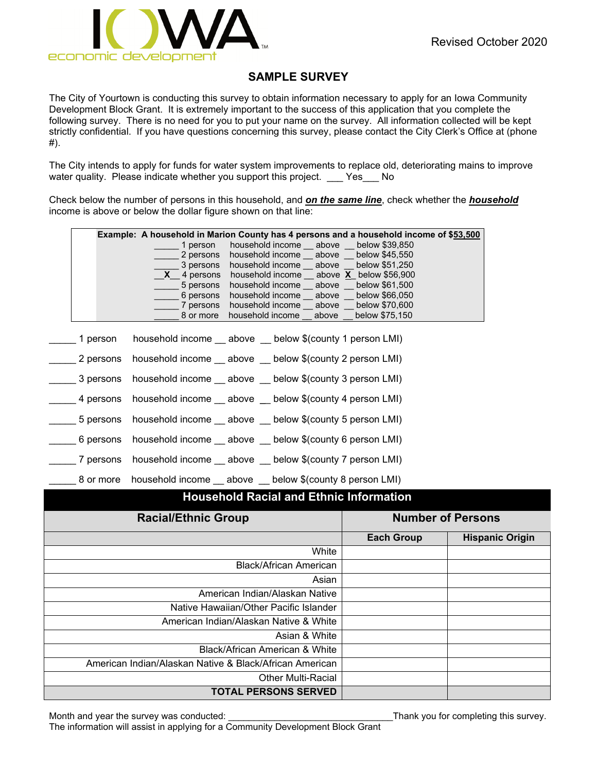

## **SAMPLE SURVEY**

The City of Yourtown is conducting this survey to obtain information necessary to apply for an Iowa Community Development Block Grant. It is extremely important to the success of this application that you complete the following survey. There is no need for you to put your name on the survey. All information collected will be kept strictly confidential. If you have questions concerning this survey, please contact the City Clerk's Office at (phone #).

The City intends to apply for funds for water system improvements to replace old, deteriorating mains to improve water quality. Please indicate whether you support this project. Yes No

Check below the number of persons in this household, and *on the same line*, check whether the *household* income is above or below the dollar figure shown on that line:

|           | Example: A household in Marion County has 4 persons and a household income of \$53,500 |
|-----------|----------------------------------------------------------------------------------------|
|           | household income above below \$39,850<br>1 person                                      |
|           | 2 persons<br>household income above below \$45,550                                     |
|           | 3 persons<br>household income above below \$51,250                                     |
|           | $\textsf{X}$ 4 persons household income __ above $\textsf{X}$ below \$56,900           |
|           | 5 persons<br>household income above below \$61,500                                     |
|           | 6 persons<br>household income above below \$66,050                                     |
|           | household income __ above __ below \$70,600<br>_ 7 persons                             |
|           | household income above below \$75,150<br>8 or more                                     |
|           |                                                                                        |
| 1 person  | household income __ above __ below \$(county 1 person LMI)                             |
|           | 2 persons household income __ above __ below \$(county 2 person LMI)                   |
|           | 3 persons household income __ above __ below \$(county 3 person LMI)                   |
|           | 4 persons household income __ above __ below \$(county 4 person LMI)                   |
|           | 5 persons household income __ above __ below \$(county 5 person LMI)                   |
|           |                                                                                        |
|           | 6 persons household income __ above __ below \$(county 6 person LMI)                   |
|           | 7 persons household income __ above __ below \$(county 7 person LMI)                   |
| 8 or more | household income __ above __ below \$(county 8 person LMI)                             |

### **Household Racial and Ethnic Information**

| <b>Racial/Ethnic Group</b>                              | <b>Number of Persons</b> |                        |  |  |  |
|---------------------------------------------------------|--------------------------|------------------------|--|--|--|
|                                                         | <b>Each Group</b>        | <b>Hispanic Origin</b> |  |  |  |
| White                                                   |                          |                        |  |  |  |
| Black/African American                                  |                          |                        |  |  |  |
| Asian                                                   |                          |                        |  |  |  |
| American Indian/Alaskan Native                          |                          |                        |  |  |  |
| Native Hawaiian/Other Pacific Islander                  |                          |                        |  |  |  |
| American Indian/Alaskan Native & White                  |                          |                        |  |  |  |
| Asian & White                                           |                          |                        |  |  |  |
| Black/African American & White                          |                          |                        |  |  |  |
| American Indian/Alaskan Native & Black/African American |                          |                        |  |  |  |
| <b>Other Multi-Racial</b>                               |                          |                        |  |  |  |
| <b>TOTAL PERSONS SERVED</b>                             |                          |                        |  |  |  |

Month and year the survey was conducted: \_\_\_\_\_\_\_\_\_\_\_\_\_\_\_\_\_\_\_\_\_\_\_\_\_\_\_\_\_\_\_\_Thank you for completing this survey.

The information will assist in applying for a Community Development Block Grant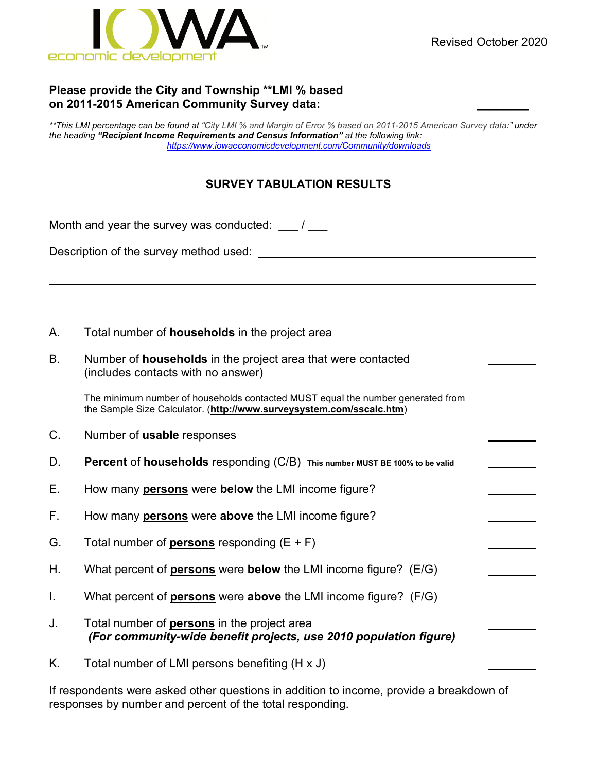

### **Please provide the City and Township \*\*LMI % based on 2011-2015 American Community Survey data: \_\_\_\_\_\_\_\_**

*\*\*This LMI percentage can be found at "City LMI % and Margin of Error % based on 2011-2015 American Survey data:" under the heading "Recipient Income Requirements and Census Information" at the following link: <https://www.iowaeconomicdevelopment.com/Community/downloads>*

## **SURVEY TABULATION RESULTS**

Month and year the survey was conducted:  $\frac{1}{2}$ 

Description of the survey method used:

A. Total number of **households** in the project area

B. Number of **households** in the project area that were contacted (includes contacts with no answer)

The minimum number of households contacted MUST equal the number generated from the Sample Size Calculator. (**<http://www.surveysystem.com/sscalc.htm>**)

- C. Number of **usable** responses
- D. **Percent** of **households** responding (C/B) **This number MUST BE 100% to be valid**
- E. How many **persons** were **below** the LMI income figure?
- F. How many **persons** were **above** the LMI income figure?
- G. Total number of **persons** responding (E + F)
- H. What percent of **persons** were **below** the LMI income figure? (E/G)
- I. What percent of **persons** were **above** the LMI income figure? (F/G)
- J. Total number of **persons** in the project area *(For community-wide benefit projects, use 2010 population figure)*
- K. Total number of LMI persons benefiting (H x J)

If respondents were asked other questions in addition to income, provide a breakdown of responses by number and percent of the total responding.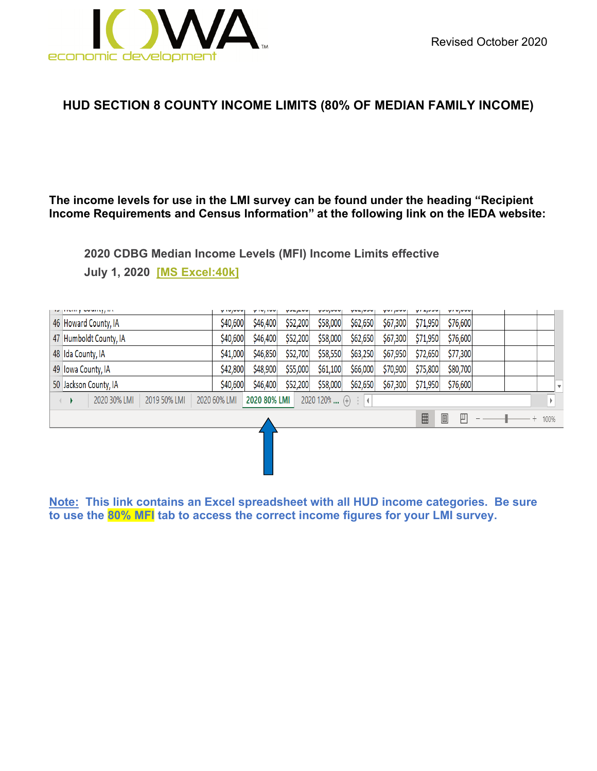

# **HUD SECTION 8 COUNTY INCOME LIMITS (80% OF MEDIAN FAMILY INCOME)**

### **The income levels for use in the LMI survey can be found under the heading "Recipient Income Requirements and Census Information" at the following link on the IEDA website:**

**2020 CDBG Median Income Levels (MFI) Income Limits effective**

**July 1, 2020 [\[MS Excel:40k\]](https://www.iowaeconomicdevelopment.com/UserDocs/documents/IEDA/lmi-worksheet-income-limits-effective-7-01-2020.xlsx)**

|                                                                                                                                                                                                                                                                                                                                                                       | as promy sound, av     | y ivjuuu |          |          |          |          |          |          | y, vjvvu |  |  |  |  |
|-----------------------------------------------------------------------------------------------------------------------------------------------------------------------------------------------------------------------------------------------------------------------------------------------------------------------------------------------------------------------|------------------------|----------|----------|----------|----------|----------|----------|----------|----------|--|--|--|--|
|                                                                                                                                                                                                                                                                                                                                                                       | 46 Howard County, IA   | \$40,600 | \$46,400 | \$52,200 | \$58,000 | \$62,650 | \$67,300 | \$71,950 | \$76,600 |  |  |  |  |
|                                                                                                                                                                                                                                                                                                                                                                       | 47 Humboldt County, IA | \$40,600 | \$46,400 | \$52,200 | \$58,000 | \$62,650 | \$67,300 | \$71,950 | \$76,600 |  |  |  |  |
|                                                                                                                                                                                                                                                                                                                                                                       | 48 Ida County, IA      | \$41,000 | \$46,850 | \$52,700 | \$58,550 | \$63,250 | \$67,950 | \$72,650 | \$77,300 |  |  |  |  |
|                                                                                                                                                                                                                                                                                                                                                                       | 49 Iowa County, IA     | \$42,800 | \$48,900 | \$55,000 | \$61,100 | \$66,000 | \$70,900 | \$75,800 | \$80,700 |  |  |  |  |
|                                                                                                                                                                                                                                                                                                                                                                       | 50 Jackson County, IA  | \$40,600 | \$46,400 | \$52,200 | \$58,000 | \$62,650 | \$67,300 | \$71,950 | \$76,600 |  |  |  |  |
| 2020 30% LMI<br>2019 50% LMI<br>2020 80% LMI<br>$2020120\%$ (+)<br>2020 60% LMI<br>$\pm 1$                                                                                                                                                                                                                                                                            |                        |          |          |          |          |          |          |          |          |  |  |  |  |
| $\begin{tabular}{ c c } \hline \rule{0.3cm}{.04cm} \rule{0.3cm}{.04cm} \rule{0.3cm}{.04cm} \rule{0.3cm}{.04cm} \rule{0.3cm}{.04cm} \rule{0.3cm}{.04cm} \rule{0.3cm}{.04cm} \rule{0.3cm}{.04cm} \rule{0.3cm}{.04cm} \rule{0.3cm}{.04cm} \rule{0.3cm}{.04cm} \rule{0.3cm}{.04cm} \rule{0.3cm}{.04cm} \rule{0.3cm}{.04cm} \rule{0.3cm}{.04cm} \rule{0.3cm}{.0$<br>凹<br>囲 |                        |          |          |          |          |          |          | $+ 100%$ |          |  |  |  |  |
|                                                                                                                                                                                                                                                                                                                                                                       |                        |          |          |          |          |          |          |          |          |  |  |  |  |

**Note: This link contains an Excel spreadsheet with all HUD income categories. Be sure to use the 80% MFI tab to access the correct income figures for your LMI survey.**